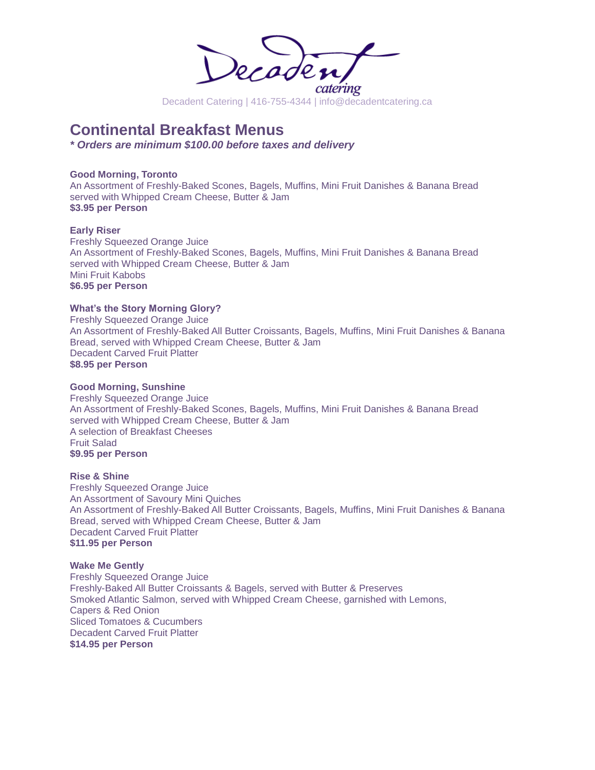

## **Continental Breakfast Menus**

*\* Orders are minimum \$100.00 before taxes and delivery*

### **Good Morning, Toronto**

An Assortment of Freshly-Baked Scones, Bagels, Muffins, Mini Fruit Danishes & Banana Bread served with Whipped Cream Cheese, Butter & Jam **\$3.95 per Person** 

### **Early Riser**

Freshly Squeezed Orange Juice An Assortment of Freshly-Baked Scones, Bagels, Muffins, Mini Fruit Danishes & Banana Bread served with Whipped Cream Cheese, Butter & Jam Mini Fruit Kabobs **\$6.95 per Person**

### **What's the Story Morning Glory?**

Freshly Squeezed Orange Juice An Assortment of Freshly-Baked All Butter Croissants, Bagels, Muffins, Mini Fruit Danishes & Banana Bread, served with Whipped Cream Cheese, Butter & Jam Decadent Carved Fruit Platter **\$8.95 per Person**

#### **Good Morning, Sunshine**

Freshly Squeezed Orange Juice An Assortment of Freshly-Baked Scones, Bagels, Muffins, Mini Fruit Danishes & Banana Bread served with Whipped Cream Cheese, Butter & Jam A selection of Breakfast Cheeses Fruit Salad **\$9.95 per Person**

### **Rise & Shine**

Freshly Squeezed Orange Juice An Assortment of Savoury Mini Quiches An Assortment of Freshly-Baked All Butter Croissants, Bagels, Muffins, Mini Fruit Danishes & Banana Bread, served with Whipped Cream Cheese, Butter & Jam Decadent Carved Fruit Platter **\$11.95 per Person**

#### **Wake Me Gently**

Freshly Squeezed Orange Juice Freshly-Baked All Butter Croissants & Bagels, served with Butter & Preserves Smoked Atlantic Salmon, served with Whipped Cream Cheese, garnished with Lemons, Capers & Red Onion Sliced Tomatoes & Cucumbers Decadent Carved Fruit Platter **\$14.95 per Person**